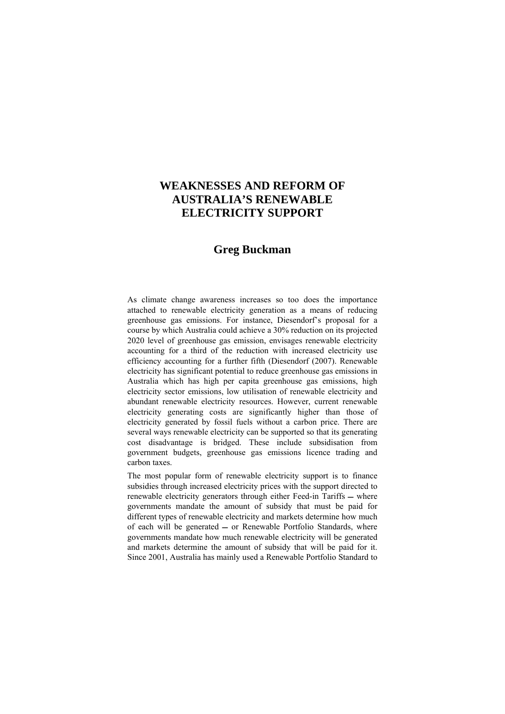# **WEAKNESSES AND REFORM OF AUSTRALIA'S RENEWABLE ELECTRICITY SUPPORT**

# **Greg Buckman**

As climate change awareness increases so too does the importance attached to renewable electricity generation as a means of reducing greenhouse gas emissions. For instance, Diesendorf's proposal for a course by which Australia could achieve a 30% reduction on its projected 2020 level of greenhouse gas emission, envisages renewable electricity accounting for a third of the reduction with increased electricity use efficiency accounting for a further fifth (Diesendorf (2007). Renewable electricity has significant potential to reduce greenhouse gas emissions in Australia which has high per capita greenhouse gas emissions, high electricity sector emissions, low utilisation of renewable electricity and abundant renewable electricity resources. However, current renewable electricity generating costs are significantly higher than those of electricity generated by fossil fuels without a carbon price. There are several ways renewable electricity can be supported so that its generating cost disadvantage is bridged. These include subsidisation from government budgets, greenhouse gas emissions licence trading and carbon taxes.

The most popular form of renewable electricity support is to finance subsidies through increased electricity prices with the support directed to renewable electricity generators through either Feed-in Tariffs  $-$  where governments mandate the amount of subsidy that must be paid for different types of renewable electricity and markets determine how much of each will be generated or Renewable Portfolio Standards, where governments mandate how much renewable electricity will be generated and markets determine the amount of subsidy that will be paid for it. Since 2001, Australia has mainly used a Renewable Portfolio Standard to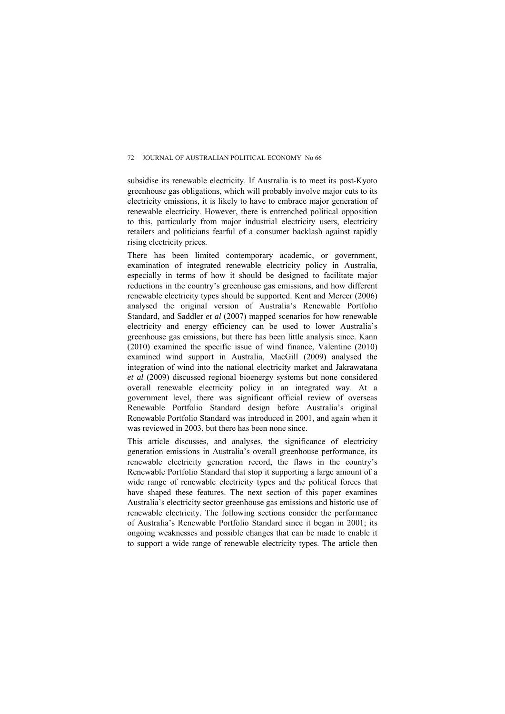subsidise its renewable electricity. If Australia is to meet its post-Kyoto greenhouse gas obligations, which will probably involve major cuts to its electricity emissions, it is likely to have to embrace major generation of renewable electricity. However, there is entrenched political opposition to this, particularly from major industrial electricity users, electricity retailers and politicians fearful of a consumer backlash against rapidly rising electricity prices.

There has been limited contemporary academic, or government, examination of integrated renewable electricity policy in Australia, especially in terms of how it should be designed to facilitate major reductions in the country's greenhouse gas emissions, and how different renewable electricity types should be supported. Kent and Mercer (2006) analysed the original version of Australia's Renewable Portfolio Standard, and Saddler *et al* (2007) mapped scenarios for how renewable electricity and energy efficiency can be used to lower Australia's greenhouse gas emissions, but there has been little analysis since. Kann (2010) examined the specific issue of wind finance, Valentine (2010) examined wind support in Australia, MacGill (2009) analysed the integration of wind into the national electricity market and Jakrawatana *et al* (2009) discussed regional bioenergy systems but none considered overall renewable electricity policy in an integrated way. At a government level, there was significant official review of overseas Renewable Portfolio Standard design before Australia's original Renewable Portfolio Standard was introduced in 2001, and again when it was reviewed in 2003, but there has been none since.

This article discusses, and analyses, the significance of electricity generation emissions in Australia's overall greenhouse performance, its renewable electricity generation record, the flaws in the country's Renewable Portfolio Standard that stop it supporting a large amount of a wide range of renewable electricity types and the political forces that have shaped these features. The next section of this paper examines Australia's electricity sector greenhouse gas emissions and historic use of renewable electricity. The following sections consider the performance of Australia's Renewable Portfolio Standard since it began in  $2001$  its ongoing weaknesses and possible changes that can be made to enable it to support a wide range of renewable electricity types. The article then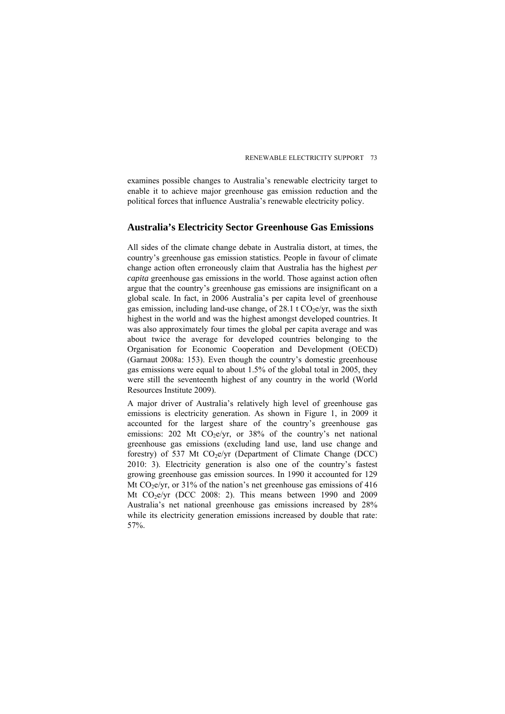examines possible changes to Australia's renewable electricity target to enable it to achieve major greenhouse gas emission reduction and the political forces that influence Australia's renewable electricity policy.

## **Australia's Electricity Sector Greenhouse Gas Emissions**

All sides of the climate change debate in Australia distort, at times, the country's greenhouse gas emission statistics. People in favour of climate change action often erroneously claim that Australia has the highest *per capita* greenhouse gas emissions in the world. Those against action often argue that the country's greenhouse gas emissions are insignificant on a global scale. In fact, in 2006 Australia's per capita level of greenhouse gas emission, including land-use change, of  $28.1 \text{ t CO}_{2}$  e/vr, was the sixth highest in the world and was the highest amongst developed countries. It was also approximately four times the global per capita average and was about twice the average for developed countries belonging to the Organisation for Economic Cooperation and Development (OECD) (Garnaut 2008a: 153). Even though the country's domestic greenhouse gas emissions were equal to about 1.5% of the global total in 2005, they were still the seventeenth highest of any country in the world (World Resources Institute 2009).

A major driver of Australia's relatively high level of greenhouse gas emissions is electricity generation. As shown in Figure 1, in 2009 it accounted for the largest share of the country's greenhouse gas emissions:  $202$  Mt CO<sub>2</sub>e/yr, or  $38\%$  of the country's net national greenhouse gas emissions (excluding land use, land use change and forestry) of 537 Mt  $CO<sub>2</sub>e/yr$  (Department of Climate Change (DCC) 2010: 3). Electricity generation is also one of the country's fastest growing greenhouse gas emission sources. In 1990 it accounted for 129 Mt  $CO<sub>2</sub>e/yr$ , or 31% of the nation's net greenhouse gas emissions of 416 Mt  $CO<sub>2</sub>$  (DCC 2008: 2). This means between 1990 and 2009 Australia's net national greenhouse gas emissions increased by 28% while its electricity generation emissions increased by double that rate: 57%.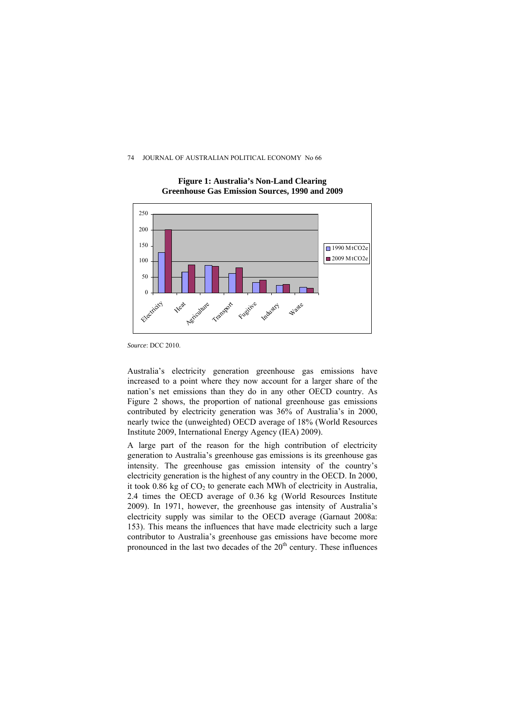

**Figure 1: Australia's Non-Land Clearing Greenhouse Gas Emission Sources, 1990 and 2009** 

Australia's electricity generation greenhouse gas emissions have increased to a point where they now account for a larger share of the nation's net emissions than they do in any other OECD country. As Figure 2 shows, the proportion of national greenhouse gas emissions contributed by electricity generation was 36% of Australia's in 2000, nearly twice the (unweighted) OECD average of 18% (World Resources Institute 2009, International Energy Agency (IEA) 2009).

A large part of the reason for the high contribution of electricity generation to Australia's greenhouse gas emissions is its greenhouse gas intensity. The greenhouse gas emission intensity of the country's electricity generation is the highest of any country in the OECD. In 2000, it took  $0.86$  kg of  $CO<sub>2</sub>$  to generate each MWh of electricity in Australia, 2.4 times the OECD average of 0.36 kg (World Resources Institute 2009). In 1971, however, the greenhouse gas intensity of Australia's electricity supply was similar to the OECD average (Garnaut 2008a: 153). This means the influences that have made electricity such a large contributor to Australia's greenhouse gas emissions have become more pronounced in the last two decades of the  $20<sup>th</sup>$  century. These influences

*Source*: DCC 2010.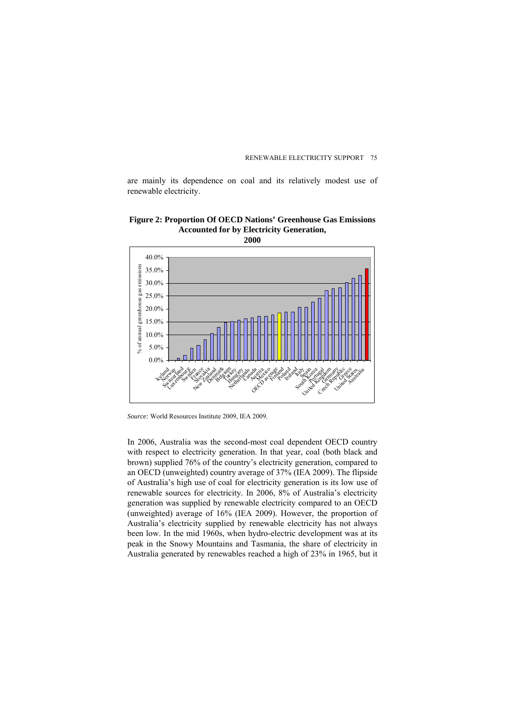are mainly its dependence on coal and its relatively modest use of renewable electricity.

### **Figure 2: Proportion Of OECD Nations' Greenhouse Gas Emissions Accounted for by Electricity Generation, 2000**



*Source:* World Resources Institute 2009, IEA 2009.

In 2006, Australia was the second-most coal dependent OECD country with respect to electricity generation. In that year, coal (both black and brown) supplied 76% of the country's electricity generation, compared to an OECD (unweighted) country average of 37% (IEA 2009). The flipside of Australia's high use of coal for electricity generation is its low use of renewable sources for electricity. In 2006, 8% of Australia's electricity generation was supplied by renewable electricity compared to an OECD (unweighted) average of 16% (IEA 2009). However, the proportion of Australia's electricity supplied by renewable electricity has not always been low. In the mid 1960s, when hydro-electric development was at its peak in the Snowy Mountains and Tasmania, the share of electricity in Australia generated by renewables reached a high of 23% in 1965, but it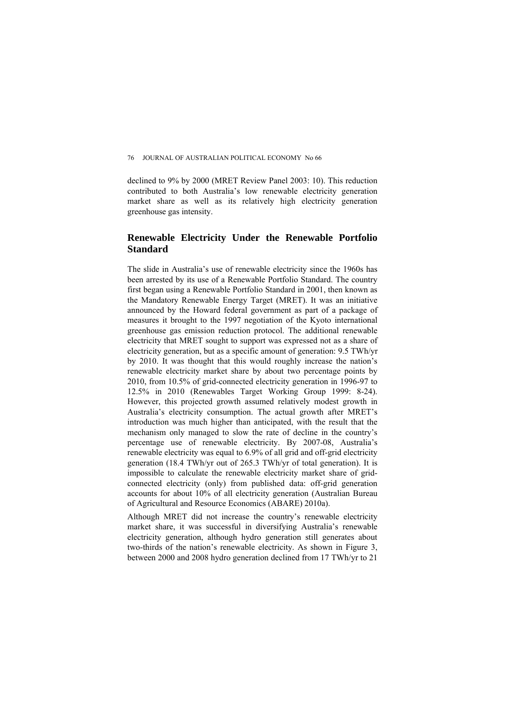declined to 9% by 2000 (MRET Review Panel 2003: 10). This reduction contributed to both Australia's low renewable electricity generation market share as well as its relatively high electricity generation greenhouse gas intensity.

## **Renewable Electricity Under the Renewable Portfolio Standard**

The slide in Australia's use of renewable electricity since the 1960s has been arrested by its use of a Renewable Portfolio Standard. The country first began using a Renewable Portfolio Standard in 2001, then known as the Mandatory Renewable Energy Target (MRET). It was an initiative announced by the Howard federal government as part of a package of measures it brought to the 1997 negotiation of the Kyoto international greenhouse gas emission reduction protocol. The additional renewable electricity that MRET sought to support was expressed not as a share of electricity generation, but as a specific amount of generation: 9.5 TWh/yr by 2010. It was thought that this would roughly increase the nation's renewable electricity market share by about two percentage points by 2010, from 10.5% of grid-connected electricity generation in 1996-97 to 12.5% in 2010 (Renewables Target Working Group 1999: 8-24). However, this projected growth assumed relatively modest growth in Australia's electricity consumption. The actual growth after MRET's introduction was much higher than anticipated, with the result that the mechanism only managed to slow the rate of decline in the country's percentage use of renewable electricity. By 2007-08, Australia's renewable electricity was equal to 6.9% of all grid and off-grid electricity generation (18.4 TWh/yr out of 265.3 TWh/yr of total generation). It is impossible to calculate the renewable electricity market share of gridconnected electricity (only) from published data: off-grid generation accounts for about 10% of all electricity generation (Australian Bureau of Agricultural and Resource Economics (ABARE) 2010a).

Although MRET did not increase the country's renewable electricity market share, it was successful in diversifying Australia's renewable electricity generation, although hydro generation still generates about two-thirds of the nation's renewable electricity. As shown in Figure 3, between 2000 and 2008 hydro generation declined from 17 TWh/yr to 21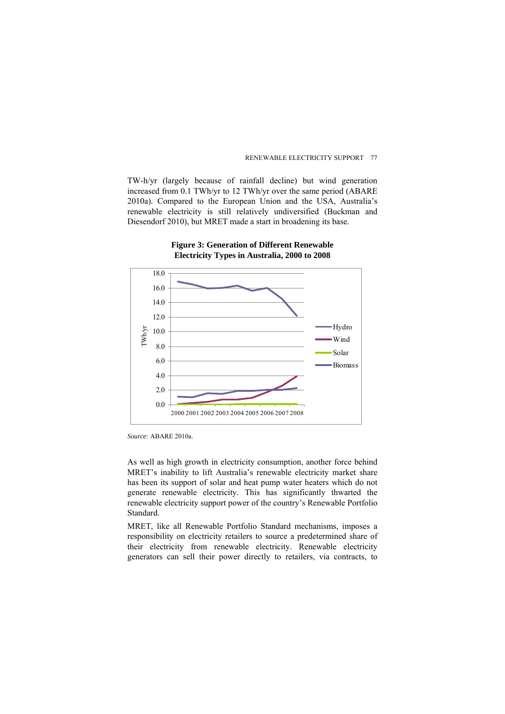TW-h/yr (largely because of rainfall decline) but wind generation increased from 0.1 TWh/yr to 12 TWh/yr over the same period (ABARE 2010a). Compared to the European Union and the USA, Australia's renewable electricity is still relatively undiversified (Buckman and Diesendorf 2010), but MRET made a start in broadening its base.



### **Figure 3: Generation of Different Renewable Electricity Types in Australia, 2000 to 2008**

*Source:* ABARE 2010a.

As well as high growth in electricity consumption, another force behind MRET's inability to lift Australia's renewable electricity market share has been its support of solar and heat pump water heaters which do not generate renewable electricity. This has significantly thwarted the renewable electricity support power of the country's Renewable Portfolio Standard.

MRET, like all Renewable Portfolio Standard mechanisms, imposes a responsibility on electricity retailers to source a predetermined share of their electricity from renewable electricity. Renewable electricity generators can sell their power directly to retailers, via contracts, to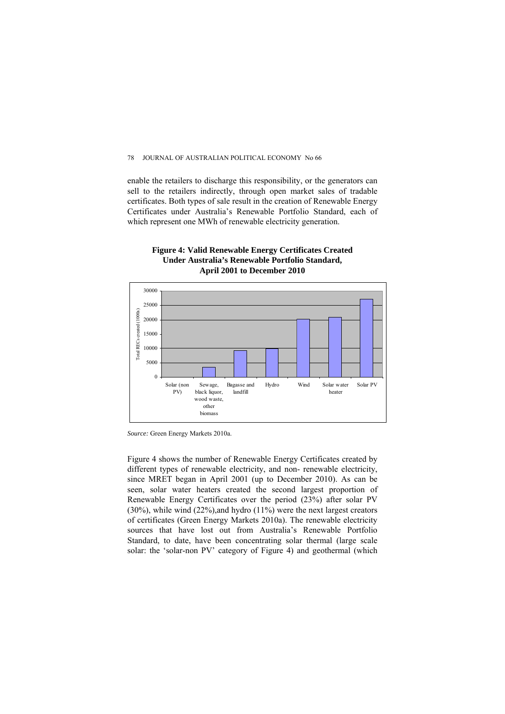enable the retailers to discharge this responsibility, or the generators can sell to the retailers indirectly, through open market sales of tradable certificates. Both types of sale result in the creation of Renewable Energy Certificates under Australia's Renewable Portfolio Standard, each of which represent one MWh of renewable electricity generation.





*Source:* Green Energy Markets 2010a.

Figure 4 shows the number of Renewable Energy Certificates created by different types of renewable electricity, and non- renewable electricity, since MRET began in April 2001 (up to December 2010). As can be seen, solar water heaters created the second largest proportion of Renewable Energy Certificates over the period (23%) after solar PV (30%), while wind (22%),and hydro (11%) were the next largest creators of certificates (Green Energy Markets 2010a). The renewable electricity sources that have lost out from Australia's Renewable Portfolio Standard, to date, have been concentrating solar thermal (large scale solar: the 'solar-non PV' category of Figure 4) and geothermal (which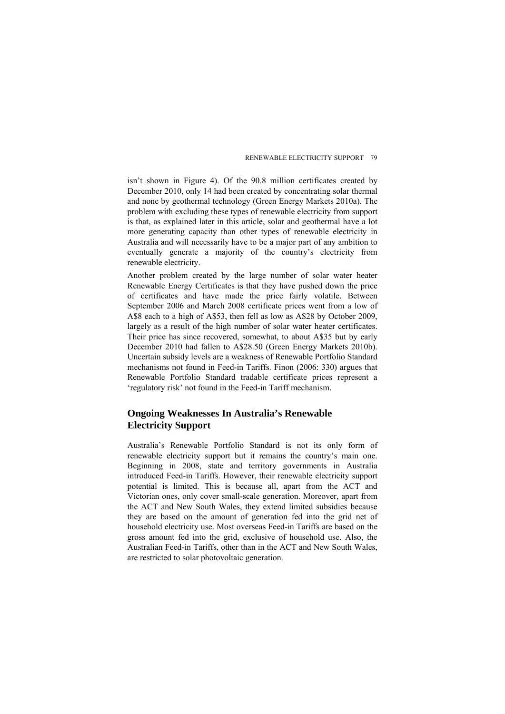isn't shown in Figure 4). Of the 90.8 million certificates created by December 2010, only 14 had been created by concentrating solar thermal and none by geothermal technology (Green Energy Markets 2010a). The problem with excluding these types of renewable electricity from support is that, as explained later in this article, solar and geothermal have a lot more generating capacity than other types of renewable electricity in Australia and will necessarily have to be a major part of any ambition to eventually generate a majority of the country's electricity from renewable electricity.

Another problem created by the large number of solar water heater Renewable Energy Certificates is that they have pushed down the price of certificates and have made the price fairly volatile. Between September 2006 and March 2008 certificate prices went from a low of A\$8 each to a high of A\$53, then fell as low as A\$28 by October 2009, largely as a result of the high number of solar water heater certificates. Their price has since recovered, somewhat, to about A\$35 but by early December 2010 had fallen to A\$28.50 (Green Energy Markets 2010b). Uncertain subsidy levels are a weakness of Renewable Portfolio Standard mechanisms not found in Feed-in Tariffs. Finon (2006: 330) argues that Renewable Portfolio Standard tradable certificate prices represent a 'regulatory risk' not found in the Feed-in Tariff mechanism.

# **Ongoing Weaknesses In Australia's Renewable Electricity Support**

Australia's Renewable Portfolio Standard is not its only form of renewable electricity support but it remains the country's main one. Beginning in 2008, state and territory governments in Australia introduced Feed-in Tariffs. However, their renewable electricity support potential is limited. This is because all, apart from the ACT and Victorian ones, only cover small-scale generation. Moreover, apart from the ACT and New South Wales, they extend limited subsidies because they are based on the amount of generation fed into the grid net of household electricity use. Most overseas Feed-in Tariffs are based on the gross amount fed into the grid, exclusive of household use. Also, the Australian Feed-in Tariffs, other than in the ACT and New South Wales, are restricted to solar photovoltaic generation.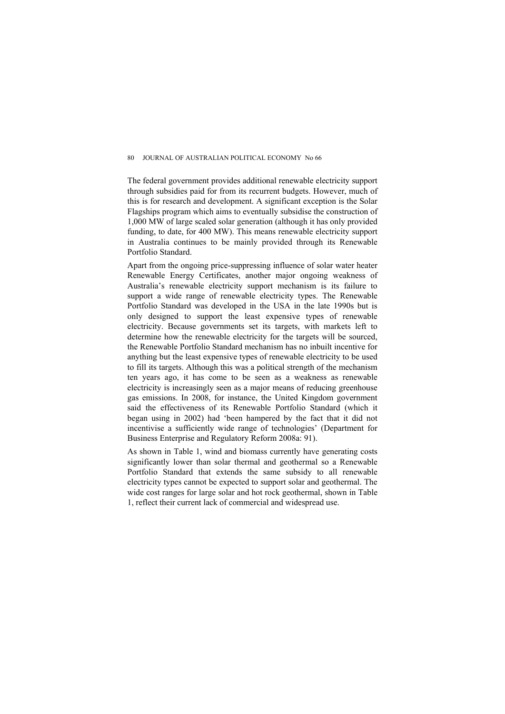The federal government provides additional renewable electricity support through subsidies paid for from its recurrent budgets. However, much of this is for research and development. A significant exception is the Solar Flagships program which aims to eventually subsidise the construction of 1,000 MW of large scaled solar generation (although it has only provided funding, to date, for 400 MW). This means renewable electricity support in Australia continues to be mainly provided through its Renewable Portfolio Standard.

Apart from the ongoing price-suppressing influence of solar water heater Renewable Energy Certificates, another major ongoing weakness of Australia's renewable electricity support mechanism is its failure to support a wide range of renewable electricity types. The Renewable Portfolio Standard was developed in the USA in the late 1990s but is only designed to support the least expensive types of renewable electricity. Because governments set its targets, with markets left to determine how the renewable electricity for the targets will be sourced, the Renewable Portfolio Standard mechanism has no inbuilt incentive for anything but the least expensive types of renewable electricity to be used to fill its targets. Although this was a political strength of the mechanism ten years ago, it has come to be seen as a weakness as renewable electricity is increasingly seen as a major means of reducing greenhouse gas emissions. In 2008, for instance, the United Kingdom government said the effectiveness of its Renewable Portfolio Standard (which it began using in 2002) had 'been hampered by the fact that it did not incentivise a sufficiently wide range of technologies' (Department for Business Enterprise and Regulatory Reform 2008a: 91).

As shown in Table 1, wind and biomass currently have generating costs significantly lower than solar thermal and geothermal so a Renewable Portfolio Standard that extends the same subsidy to all renewable electricity types cannot be expected to support solar and geothermal. The wide cost ranges for large solar and hot rock geothermal, shown in Table 1, reflect their current lack of commercial and widespread use.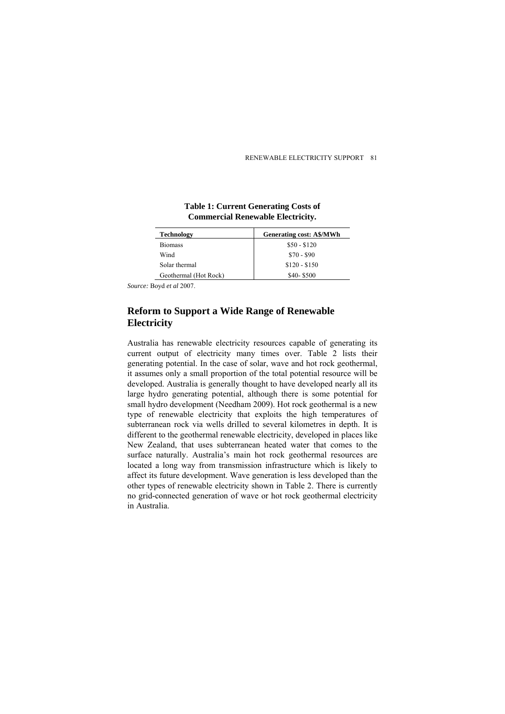| <b>Technology</b>     | <b>Generating cost: A\$/MWh</b> |
|-----------------------|---------------------------------|
| <b>Biomass</b>        | $$50 - $120$                    |
| Wind                  | $$70 - $90$                     |
| Solar thermal         | $$120 - $150$                   |
| Geothermal (Hot Rock) | $$40-$500$                      |

**Table 1: Current Generating Costs of Commercial Renewable Electricity.** 

*Source:* Boyd *et al* 2007.

# **Reform to Support a Wide Range of Renewable Electricity**

Australia has renewable electricity resources capable of generating its current output of electricity many times over. Table 2 lists their generating potential. In the case of solar, wave and hot rock geothermal, it assumes only a small proportion of the total potential resource will be developed. Australia is generally thought to have developed nearly all its large hydro generating potential, although there is some potential for small hydro development (Needham 2009). Hot rock geothermal is a new type of renewable electricity that exploits the high temperatures of subterranean rock via wells drilled to several kilometres in depth. It is different to the geothermal renewable electricity, developed in places like New Zealand, that uses subterranean heated water that comes to the surface naturally. Australia's main hot rock geothermal resources are located a long way from transmission infrastructure which is likely to affect its future development. Wave generation is less developed than the other types of renewable electricity shown in Table 2. There is currently no grid-connected generation of wave or hot rock geothermal electricity in Australia.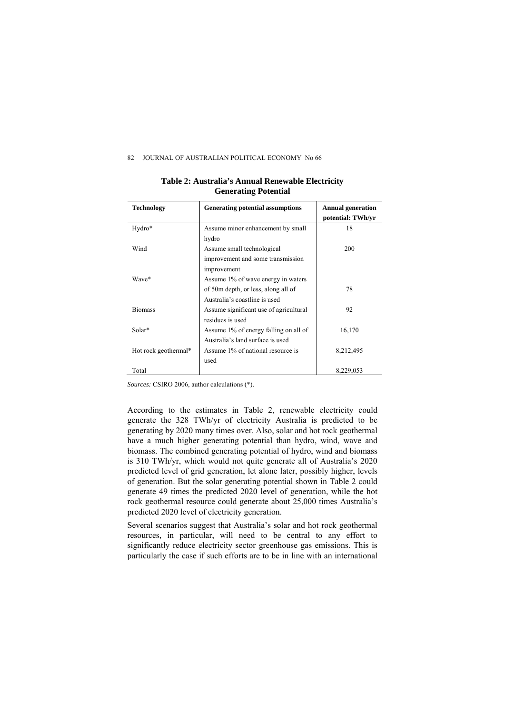#### 82 **JOURNAL OF AUSTRALIAN POLITICAL ECONOMY No 66**

| <b>Technology</b>    | Generating potential assumptions       | <b>Annual generation</b><br>potential: TWh/yr |
|----------------------|----------------------------------------|-----------------------------------------------|
| Hydro*               | Assume minor enhancement by small      | 18                                            |
|                      | hydro                                  |                                               |
| Wind                 | Assume small technological             | 200                                           |
|                      | improvement and some transmission      |                                               |
|                      | improvement                            |                                               |
| Wave*                | Assume 1% of wave energy in waters     |                                               |
|                      | of 50m depth, or less, along all of    | 78                                            |
|                      | Australia's coastline is used          |                                               |
| <b>Biomass</b>       | Assume significant use of agricultural | 92                                            |
|                      | residues is used                       |                                               |
| Solar*               | Assume 1% of energy falling on all of  | 16,170                                        |
|                      | Australia's land surface is used       |                                               |
| Hot rock geothermal* | Assume 1% of national resource is      | 8,212,495                                     |
|                      | used                                   |                                               |
| Total                |                                        | 8,229,053                                     |

### **Table 2: Australia's Annual Renewable Electricity Generating Potential**

*Sources:* CSIRO 2006, author calculations (\*).

According to the estimates in Table 2, renewable electricity could generate the 328 TWh/yr of electricity Australia is predicted to be generating by 2020 many times over. Also, solar and hot rock geothermal have a much higher generating potential than hydro, wind, wave and biomass. The combined generating potential of hydro, wind and biomass is 310 TWh/yr, which would not quite generate all of Australia's 2020 predicted level of grid generation, let alone later, possibly higher, levels of generation. But the solar generating potential shown in Table 2 could generate 49 times the predicted 2020 level of generation, while the hot rock geothermal resource could generate about 25,000 times Australia's predicted 2020 level of electricity generation.

Several scenarios suggest that Australia's solar and hot rock geothermal resources, in particular, will need to be central to any effort to significantly reduce electricity sector greenhouse gas emissions. This is particularly the case if such efforts are to be in line with an international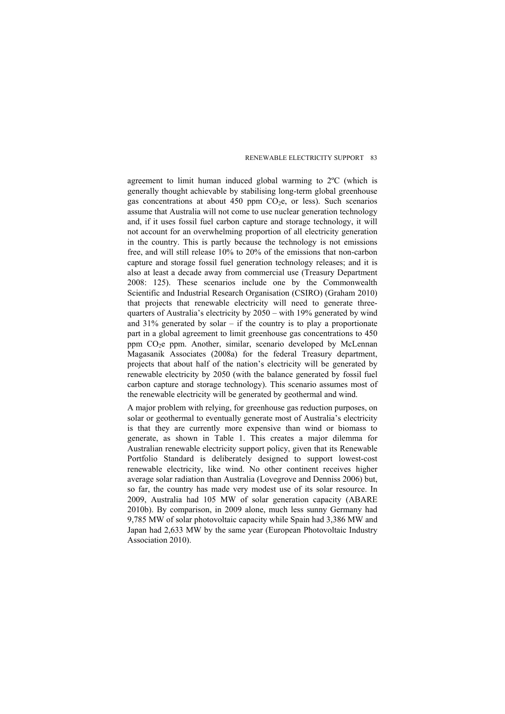agreement to limit human induced global warming to 2ºC (which is generally thought achievable by stabilising long-term global greenhouse gas concentrations at about  $450$  ppm  $CO<sub>2</sub>e$ , or less). Such scenarios assume that Australia will not come to use nuclear generation technology and, if it uses fossil fuel carbon capture and storage technology, it will not account for an overwhelming proportion of all electricity generation in the country. This is partly because the technology is not emissions free, and will still release 10% to 20% of the emissions that non-carbon capture and storage fossil fuel generation technology releases; and it is also at least a decade away from commercial use (Treasury Department 2008: 125). These scenarios include one by the Commonwealth Scientific and Industrial Research Organisation (CSIRO) (Graham 2010) that projects that renewable electricity will need to generate threequarters of Australia's electricity by 2050 – with 19% generated by wind and  $31\%$  generated by solar – if the country is to play a proportionate part in a global agreement to limit greenhouse gas concentrations to 450 ppm CO<sub>2</sub>e ppm. Another, similar, scenario developed by McLennan Magasanik Associates (2008a) for the federal Treasury department, projects that about half of the nation's electricity will be generated by renewable electricity by 2050 (with the balance generated by fossil fuel carbon capture and storage technology). This scenario assumes most of the renewable electricity will be generated by geothermal and wind.

A major problem with relying, for greenhouse gas reduction purposes, on solar or geothermal to eventually generate most of Australia's electricity is that they are currently more expensive than wind or biomass to generate, as shown in Table 1. This creates a major dilemma for Australian renewable electricity support policy, given that its Renewable Portfolio Standard is deliberately designed to support lowest-cost renewable electricity, like wind. No other continent receives higher average solar radiation than Australia (Lovegrove and Denniss 2006) but, so far, the country has made very modest use of its solar resource. In 2009, Australia had 105 MW of solar generation capacity (ABARE 2010b). By comparison, in 2009 alone, much less sunny Germany had 9,785 MW of solar photovoltaic capacity while Spain had 3,386 MW and Japan had 2,633 MW by the same year (European Photovoltaic Industry Association 2010).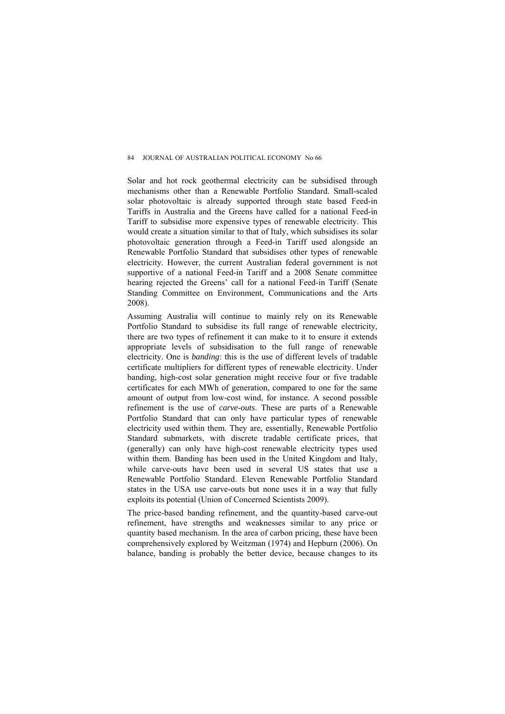Solar and hot rock geothermal electricity can be subsidised through mechanisms other than a Renewable Portfolio Standard. Small-scaled solar photovoltaic is already supported through state based Feed-in Tariffs in Australia and the Greens have called for a national Feed-in Tariff to subsidise more expensive types of renewable electricity. This would create a situation similar to that of Italy, which subsidises its solar photovoltaic generation through a Feed-in Tariff used alongside an Renewable Portfolio Standard that subsidises other types of renewable electricity. However, the current Australian federal government is not supportive of a national Feed-in Tariff and a 2008 Senate committee hearing rejected the Greens' call for a national Feed-in Tariff (Senate Standing Committee on Environment, Communications and the Arts 2008).

Assuming Australia will continue to mainly rely on its Renewable Portfolio Standard to subsidise its full range of renewable electricity, there are two types of refinement it can make to it to ensure it extends appropriate levels of subsidisation to the full range of renewable electricity. One is *banding*: this is the use of different levels of tradable certificate multipliers for different types of renewable electricity. Under banding, high-cost solar generation might receive four or five tradable certificates for each MWh of generation, compared to one for the same amount of output from low-cost wind, for instance. A second possible refinement is the use of *carve-outs*. These are parts of a Renewable Portfolio Standard that can only have particular types of renewable electricity used within them. They are, essentially, Renewable Portfolio Standard submarkets, with discrete tradable certificate prices, that (generally) can only have high-cost renewable electricity types used within them. Banding has been used in the United Kingdom and Italy, while carve-outs have been used in several US states that use a Renewable Portfolio Standard. Eleven Renewable Portfolio Standard states in the USA use carve-outs but none uses it in a way that fully exploits its potential (Union of Concerned Scientists 2009).

The price-based banding refinement, and the quantity-based carve-out refinement, have strengths and weaknesses similar to any price or quantity based mechanism. In the area of carbon pricing, these have been comprehensively explored by Weitzman (1974) and Hepburn (2006). On balance, banding is probably the better device, because changes to its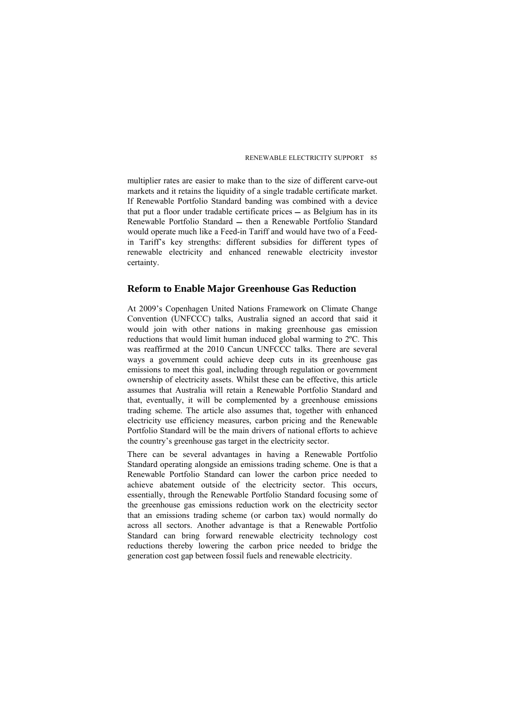multiplier rates are easier to make than to the size of different carve-out markets and it retains the liquidity of a single tradable certificate market. If Renewable Portfolio Standard banding was combined with a device that put a floor under tradable certificate prices  $-$  as Belgium has in its Renewable Portfolio Standard – then a Renewable Portfolio Standard would operate much like a Feed-in Tariff and would have two of a Feedin Tariff's key strengths: different subsidies for different types of renewable electricity and enhanced renewable electricity investor certainty.

## **Reform to Enable Major Greenhouse Gas Reduction**

At 2009's Copenhagen United Nations Framework on Climate Change Convention (UNFCCC) talks, Australia signed an accord that said it would join with other nations in making greenhouse gas emission reductions that would limit human induced global warming to 2ºC. This was reaffirmed at the 2010 Cancun UNFCCC talks. There are several ways a government could achieve deep cuts in its greenhouse gas emissions to meet this goal, including through regulation or government ownership of electricity assets. Whilst these can be effective, this article assumes that Australia will retain a Renewable Portfolio Standard and that, eventually, it will be complemented by a greenhouse emissions trading scheme. The article also assumes that, together with enhanced electricity use efficiency measures, carbon pricing and the Renewable Portfolio Standard will be the main drivers of national efforts to achieve the country's greenhouse gas target in the electricity sector.

There can be several advantages in having a Renewable Portfolio Standard operating alongside an emissions trading scheme. One is that a Renewable Portfolio Standard can lower the carbon price needed to achieve abatement outside of the electricity sector. This occurs, essentially, through the Renewable Portfolio Standard focusing some of the greenhouse gas emissions reduction work on the electricity sector that an emissions trading scheme (or carbon tax) would normally do across all sectors. Another advantage is that a Renewable Portfolio Standard can bring forward renewable electricity technology cost reductions thereby lowering the carbon price needed to bridge the generation cost gap between fossil fuels and renewable electricity.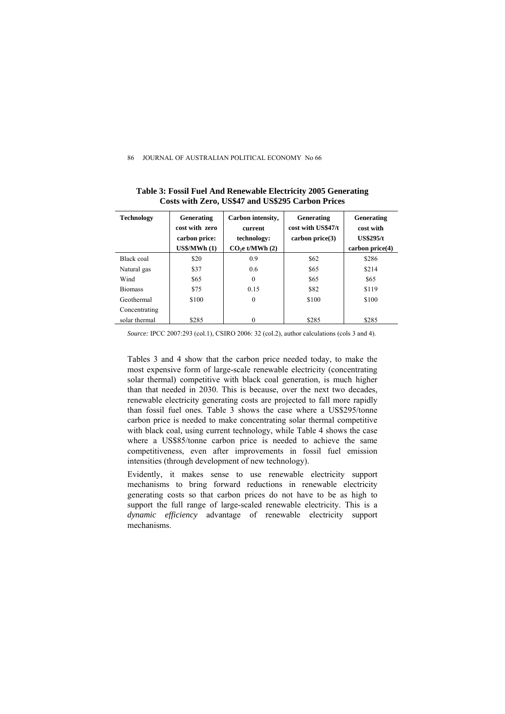| <b>Technology</b> | Generating<br>cost with zero<br>carbon price:<br>US\$/MWh(1) | Carbon intensity,<br>current<br>technology:<br>$CO2e$ t/MWh $(2)$ | Generating<br>cost with US\$47/t<br>carbon price(3) | Generating<br>cost with<br><b>US\$295/t</b><br>carbon price(4) |
|-------------------|--------------------------------------------------------------|-------------------------------------------------------------------|-----------------------------------------------------|----------------------------------------------------------------|
| Black coal        | \$20                                                         | 0.9                                                               | \$62                                                | \$286                                                          |
| Natural gas       | \$37                                                         | 0.6                                                               | \$65                                                | \$214                                                          |
| Wind              | \$65                                                         | $\theta$                                                          | \$65                                                | \$65                                                           |
| <b>Biomass</b>    | \$75                                                         | 0.15                                                              | \$82                                                | \$119                                                          |
| Geothermal        | \$100                                                        | $\theta$                                                          | \$100                                               | \$100                                                          |
| Concentrating     |                                                              |                                                                   |                                                     |                                                                |
| solar thermal     | \$285                                                        | $\theta$                                                          | \$285                                               | \$285                                                          |

**Table 3: Fossil Fuel And Renewable Electricity 2005 Generating Costs with Zero, US\$47 and US\$295 Carbon Prices** 

*Source:* IPCC 2007:293 (col.1), CSIRO 2006: 32 (col.2), author calculations (cols 3 and 4).

Tables 3 and 4 show that the carbon price needed today, to make the most expensive form of large-scale renewable electricity (concentrating solar thermal) competitive with black coal generation, is much higher than that needed in 2030. This is because, over the next two decades, renewable electricity generating costs are projected to fall more rapidly than fossil fuel ones. Table 3 shows the case where a US\$295/tonne carbon price is needed to make concentrating solar thermal competitive with black coal, using current technology, while Table 4 shows the case where a US\$85/tonne carbon price is needed to achieve the same competitiveness, even after improvements in fossil fuel emission intensities (through development of new technology).

Evidently, it makes sense to use renewable electricity support mechanisms to bring forward reductions in renewable electricity generating costs so that carbon prices do not have to be as high to support the full range of large-scaled renewable electricity. This is a *dynamic efficiency* advantage of renewable electricity support mechanisms.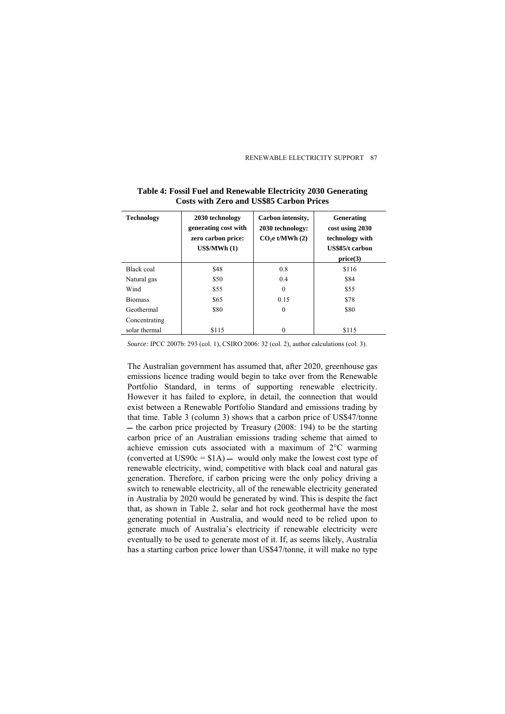| <b>Technology</b> | 2030 technology<br>generating cost with<br>zero carbon price:<br>$US\$ /MWh $(1)$ | Carbon intensity,<br>2030 technology:<br>$CO2e$ t/MWh $(2)$ | Generating<br>cost using 2030<br>technology with<br>US\$85/t carbon<br>price(3) |
|-------------------|-----------------------------------------------------------------------------------|-------------------------------------------------------------|---------------------------------------------------------------------------------|
| Black coal        | \$48                                                                              | 0.8                                                         | \$116                                                                           |
| Natural gas       | \$50                                                                              | 0.4                                                         | \$84                                                                            |
| Wind              | \$55                                                                              | $\theta$                                                    | \$55                                                                            |
| <b>Biomass</b>    | \$65                                                                              | 0.15                                                        | \$78                                                                            |
| Geothermal        | \$80                                                                              | $\theta$                                                    | \$80                                                                            |
| Concentrating     |                                                                                   |                                                             |                                                                                 |
| solar thermal     | \$115                                                                             | $\Omega$                                                    | \$115                                                                           |

### **Table 4: Fossil Fuel and Renewable Electricity 2030 Generating Costs with Zero and US\$85 Carbon Prices**

*Source:* IPCC 2007b: 293 (col. 1), CSIRO 2006: 32 (col. 2), author calculations (col. 3).

The Australian government has assumed that, after 2020, greenhouse gas emissions licence trading would begin to take over from the Renewable Portfolio Standard, in terms of supporting renewable electricity. However it has failed to explore, in detail, the connection that would exist between a Renewable Portfolio Standard and emissions trading by that time. Table 3 (column 3) shows that a carbon price of US\$47/tonne  $-$  the carbon price projected by Treasury (2008: 194) to be the starting carbon price of an Australian emissions trading scheme that aimed to achieve emission cuts associated with a maximum of 2°C warming (converted at US90 $c = $1A$ ) – would only make the lowest cost type of renewable electricity, wind, competitive with black coal and natural gas generation. Therefore, if carbon pricing were the only policy driving a switch to renewable electricity, all of the renewable electricity generated in Australia by 2020 would be generated by wind. This is despite the fact that, as shown in Table 2, solar and hot rock geothermal have the most generating potential in Australia, and would need to be relied upon to generate much of Australia's electricity if renewable electricity were eventually to be used to generate most of it. If, as seems likely, Australia has a starting carbon price lower than US\$47/tonne, it will make no type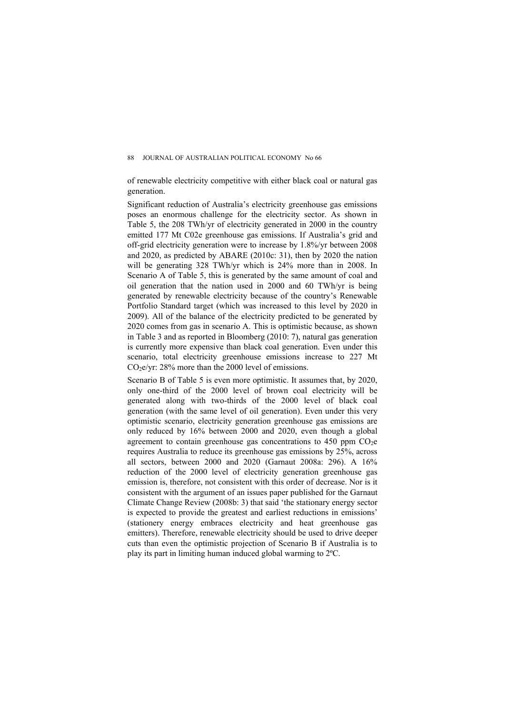of renewable electricity competitive with either black coal or natural gas generation.

Significant reduction of Australia's electricity greenhouse gas emissions poses an enormous challenge for the electricity sector. As shown in Table 5, the 208 TWh/yr of electricity generated in 2000 in the country emitted 177 Mt C02e greenhouse gas emissions. If Australia's grid and off-grid electricity generation were to increase by 1.8%/yr between 2008 and 2020, as predicted by ABARE (2010c: 31), then by 2020 the nation will be generating 328 TWh/yr which is 24% more than in 2008. In Scenario A of Table 5, this is generated by the same amount of coal and oil generation that the nation used in 2000 and 60 TWh/yr is being generated by renewable electricity because of the country's Renewable Portfolio Standard target (which was increased to this level by 2020 in 2009). All of the balance of the electricity predicted to be generated by 2020 comes from gas in scenario A. This is optimistic because, as shown in Table 3 and as reported in Bloomberg (2010: 7), natural gas generation is currently more expensive than black coal generation. Even under this scenario, total electricity greenhouse emissions increase to 227 Mt  $CO<sub>2</sub>e/yr$ : 28% more than the 2000 level of emissions.

Scenario B of Table 5 is even more optimistic. It assumes that, by 2020, only one-third of the 2000 level of brown coal electricity will be generated along with two-thirds of the 2000 level of black coal generation (with the same level of oil generation). Even under this very optimistic scenario, electricity generation greenhouse gas emissions are only reduced by 16% between 2000 and 2020, even though a global agreement to contain greenhouse gas concentrations to  $450$  ppm  $CO<sub>2</sub>e$ requires Australia to reduce its greenhouse gas emissions by 25%, across all sectors, between 2000 and 2020 (Garnaut 2008a: 296). A 16% reduction of the 2000 level of electricity generation greenhouse gas emission is, therefore, not consistent with this order of decrease. Nor is it consistent with the argument of an issues paper published for the Garnaut Climate Change Review (2008b: 3) that said 'the stationary energy sector is expected to provide the greatest and earliest reductions in emissions' (stationery energy embraces electricity and heat greenhouse gas emitters). Therefore, renewable electricity should be used to drive deeper cuts than even the optimistic projection of Scenario B if Australia is to play its part in limiting human induced global warming to 2ºC.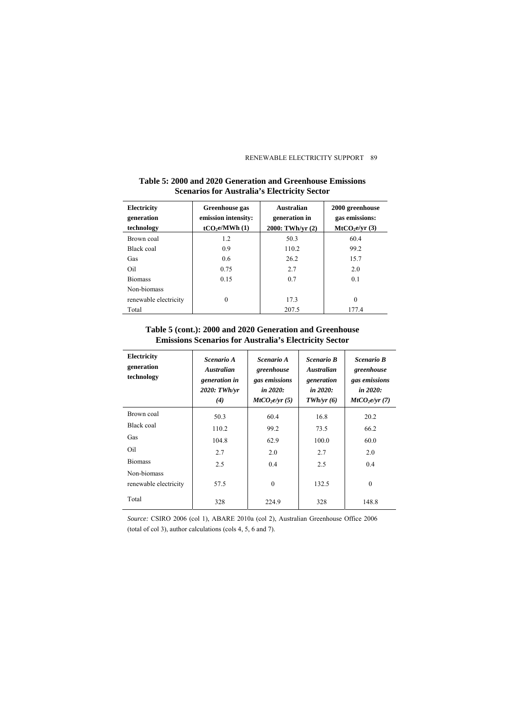| <b>Electricity</b><br>generation<br>technology | Greenhouse gas<br>emission intensity:<br>tCO <sub>2</sub> e/MWh(1) | <b>Australian</b><br>generation in<br>2000: TWh/yr (2) | 2000 greenhouse<br>gas emissions:<br>MtCO <sub>2</sub> e/yr(3) |  |
|------------------------------------------------|--------------------------------------------------------------------|--------------------------------------------------------|----------------------------------------------------------------|--|
| Brown coal                                     | 1.2                                                                | 50.3                                                   | 60.4                                                           |  |
| Black coal                                     | 0.9                                                                | 110.2                                                  | 99.2                                                           |  |
| Gas                                            | 0.6                                                                | 26.2                                                   | 15.7                                                           |  |
| Oil                                            | 0.75                                                               | 2.7                                                    | 2.0                                                            |  |
| <b>Biomass</b>                                 | 0.15                                                               | 0.7                                                    | 0.1                                                            |  |
| Non-biomass                                    |                                                                    |                                                        |                                                                |  |
| renewable electricity                          | $\theta$                                                           | 17.3                                                   | $\Omega$                                                       |  |
| Total                                          |                                                                    | 207.5                                                  | 177.4                                                          |  |

### **Table 5: 2000 and 2020 Generation and Greenhouse Emissions Scenarios for Australia's Electricity Sector**

### **Table 5 (cont.): 2000 and 2020 Generation and Greenhouse Emissions Scenarios for Australia's Electricity Sector**

| Electricity<br>generation<br>technology | Scenario A<br><b>Australian</b><br>generation in<br>2020: TWh/vr<br>(4) | Scenario A<br>greenhouse<br>gas emissions<br>in $2020$ :<br>MtCO <sub>2</sub> e/yr(5) | Scenario B<br><b>Australian</b><br>generation<br>in 2020:<br>TWh/yr(6) | Scenario B<br>greenhouse<br>gas emissions<br>in 2020:<br>MtCO <sub>2</sub> e/yr(7) |
|-----------------------------------------|-------------------------------------------------------------------------|---------------------------------------------------------------------------------------|------------------------------------------------------------------------|------------------------------------------------------------------------------------|
| Brown coal                              | 50.3                                                                    | 60.4                                                                                  | 16.8                                                                   | 20.2                                                                               |
| Black coal                              | 110.2                                                                   | 99.2                                                                                  | 73.5                                                                   | 66.2                                                                               |
| Gas                                     | 104.8                                                                   | 62.9                                                                                  | 100.0                                                                  | 60.0                                                                               |
| Oil                                     | 2.7                                                                     | 2.0                                                                                   | 2.7                                                                    | 2.0                                                                                |
| <b>Biomass</b>                          | 2.5                                                                     | 0.4                                                                                   | 2.5                                                                    | 0.4                                                                                |
| Non-biomass                             |                                                                         |                                                                                       |                                                                        |                                                                                    |
| renewable electricity                   | 57.5                                                                    | $\theta$                                                                              | 132.5                                                                  | $\theta$                                                                           |
| Total                                   | 328                                                                     | 224.9                                                                                 | 328                                                                    | 148.8                                                                              |

*Source:* CSIRO 2006 (col 1), ABARE 2010a (col 2), Australian Greenhouse Office 2006 (total of col 3), author calculations (cols 4, 5, 6 and 7).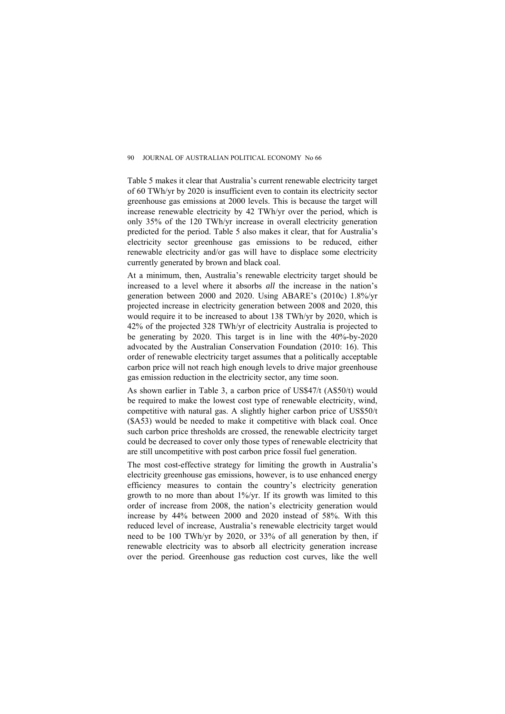Table 5 makes it clear that Australia's current renewable electricity target of 60 TWh/yr by 2020 is insufficient even to contain its electricity sector greenhouse gas emissions at 2000 levels. This is because the target will increase renewable electricity by 42 TWh/yr over the period, which is only 35% of the 120 TWh/yr increase in overall electricity generation predicted for the period. Table 5 also makes it clear, that for Australia's electricity sector greenhouse gas emissions to be reduced, either renewable electricity and/or gas will have to displace some electricity currently generated by brown and black coal.

At a minimum, then, Australia's renewable electricity target should be increased to a level where it absorbs *all* the increase in the nation's generation between 2000 and 2020. Using ABARE's (2010c) 1.8%/yr projected increase in electricity generation between 2008 and 2020, this would require it to be increased to about 138 TWh/yr by 2020, which is 42% of the projected 328 TWh/yr of electricity Australia is projected to be generating by 2020. This target is in line with the 40%-by-2020 advocated by the Australian Conservation Foundation (2010: 16). This order of renewable electricity target assumes that a politically acceptable carbon price will not reach high enough levels to drive major greenhouse gas emission reduction in the electricity sector, any time soon.

As shown earlier in Table 3, a carbon price of US\$47/t (A\$50/t) would be required to make the lowest cost type of renewable electricity, wind, competitive with natural gas. A slightly higher carbon price of US\$50/t (\$A53) would be needed to make it competitive with black coal. Once such carbon price thresholds are crossed, the renewable electricity target could be decreased to cover only those types of renewable electricity that are still uncompetitive with post carbon price fossil fuel generation.

The most cost-effective strategy for limiting the growth in Australia's electricity greenhouse gas emissions, however, is to use enhanced energy efficiency measures to contain the country's electricity generation growth to no more than about 1%/yr. If its growth was limited to this order of increase from 2008, the nation's electricity generation would increase by 44% between 2000 and 2020 instead of 58%. With this reduced level of increase, Australia's renewable electricity target would need to be 100 TWh/yr by 2020, or 33% of all generation by then, if renewable electricity was to absorb all electricity generation increase over the period. Greenhouse gas reduction cost curves, like the well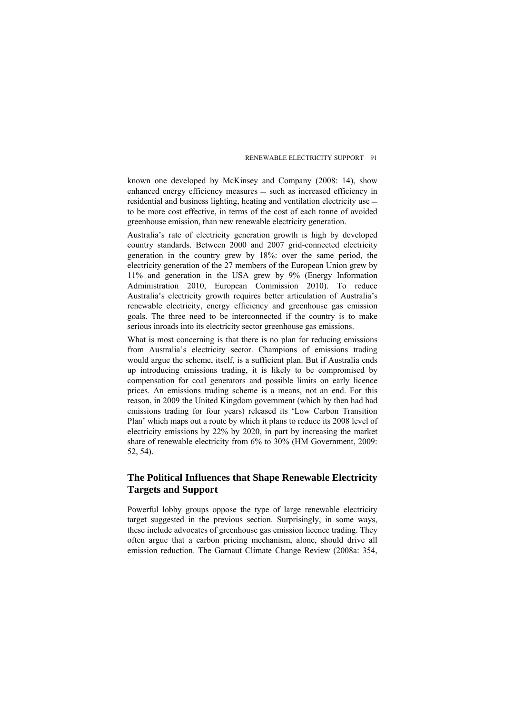known one developed by McKinsey and Company (2008: 14), show enhanced energy efficiency measures – such as increased efficiency in residential and business lighting, heating and ventilation electricity use to be more cost effective, in terms of the cost of each tonne of avoided greenhouse emission, than new renewable electricity generation.

Australia's rate of electricity generation growth is high by developed country standards. Between 2000 and 2007 grid-connected electricity generation in the country grew by 18%: over the same period, the electricity generation of the 27 members of the European Union grew by 11% and generation in the USA grew by 9% (Energy Information Administration 2010, European Commission 2010). To reduce Australia's electricity growth requires better articulation of Australia's renewable electricity, energy efficiency and greenhouse gas emission goals. The three need to be interconnected if the country is to make serious inroads into its electricity sector greenhouse gas emissions.

What is most concerning is that there is no plan for reducing emissions from Australia's electricity sector. Champions of emissions trading would argue the scheme, itself, is a sufficient plan. But if Australia ends up introducing emissions trading, it is likely to be compromised by compensation for coal generators and possible limits on early licence prices. An emissions trading scheme is a means, not an end. For this reason, in 2009 the United Kingdom government (which by then had had emissions trading for four years) released its 'Low Carbon Transition Plan' which maps out a route by which it plans to reduce its 2008 level of electricity emissions by 22% by 2020, in part by increasing the market share of renewable electricity from 6% to 30% (HM Government, 2009: 52, 54).

# **The Political Influences that Shape Renewable Electricity Targets and Support**

Powerful lobby groups oppose the type of large renewable electricity target suggested in the previous section. Surprisingly, in some ways, these include advocates of greenhouse gas emission licence trading. They often argue that a carbon pricing mechanism, alone, should drive all emission reduction. The Garnaut Climate Change Review (2008a: 354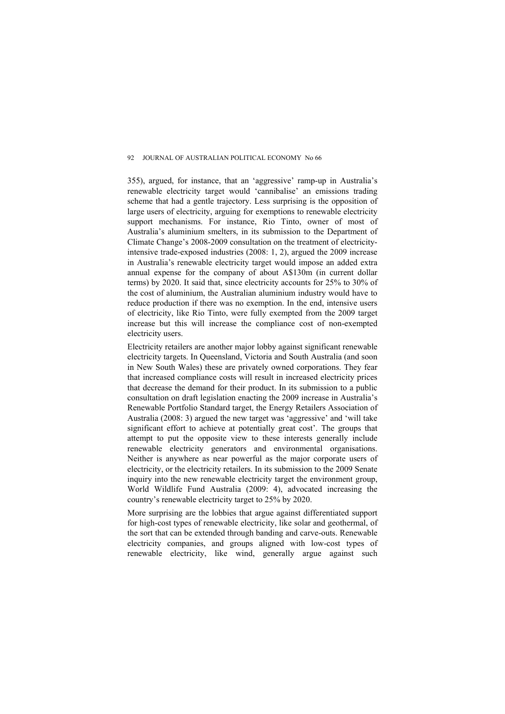355), argued, for instance, that an 'aggressive' ramp-up in Australia's renewable electricity target would 'cannibalise' an emissions trading scheme that had a gentle trajectory. Less surprising is the opposition of large users of electricity, arguing for exemptions to renewable electricity support mechanisms. For instance, Rio Tinto, owner of most of Australia's aluminium smelters, in its submission to the Department of Climate Change's 2008-2009 consultation on the treatment of electricityintensive trade-exposed industries (2008: 1, 2), argued the 2009 increase in Australia's renewable electricity target would impose an added extra annual expense for the company of about A\$130m (in current dollar terms) by 2020. It said that, since electricity accounts for 25% to 30% of the cost of aluminium, the Australian aluminium industry would have to reduce production if there was no exemption. In the end, intensive users of electricity, like Rio Tinto, were fully exempted from the 2009 target increase but this will increase the compliance cost of non-exempted electricity users.

Electricity retailers are another major lobby against significant renewable electricity targets. In Queensland, Victoria and South Australia (and soon in New South Wales) these are privately owned corporations. They fear that increased compliance costs will result in increased electricity prices that decrease the demand for their product. In its submission to a public consultation on draft legislation enacting the 2009 increase in Australia's Renewable Portfolio Standard target, the Energy Retailers Association of Australia (2008: 3) argued the new target was 'aggressive' and 'will take significant effort to achieve at potentially great cost'. The groups that attempt to put the opposite view to these interests generally include renewable electricity generators and environmental organisations. Neither is anywhere as near powerful as the major corporate users of electricity, or the electricity retailers. In its submission to the 2009 Senate inquiry into the new renewable electricity target the environment group, World Wildlife Fund Australia (2009: 4), advocated increasing the country's renewable electricity target to 25% by 2020.

More surprising are the lobbies that argue against differentiated support for high-cost types of renewable electricity, like solar and geothermal, of the sort that can be extended through banding and carve-outs. Renewable electricity companies, and groups aligned with low-cost types of renewable electricity, like wind, generally argue against such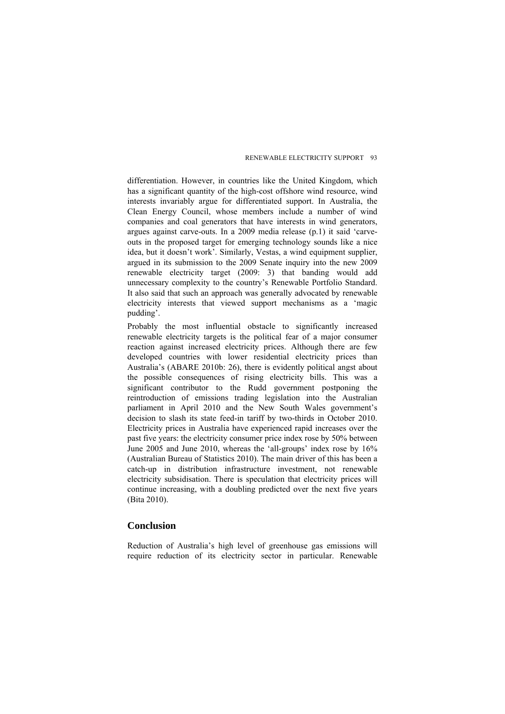differentiation. However, in countries like the United Kingdom, which has a significant quantity of the high-cost offshore wind resource, wind interests invariably argue for differentiated support. In Australia, the Clean Energy Council, whose members include a number of wind companies and coal generators that have interests in wind generators, argues against carve-outs. In a 2009 media release (p.1) it said 'carveouts in the proposed target for emerging technology sounds like a nice idea, but it doesn't work'. Similarly, Vestas, a wind equipment supplier, argued in its submission to the 2009 Senate inquiry into the new 2009 renewable electricity target (2009: 3) that banding would add unnecessary complexity to the country's Renewable Portfolio Standard. It also said that such an approach was generally advocated by renewable electricity interests that viewed support mechanisms as a 'magic pudding'.

Probably the most influential obstacle to significantly increased renewable electricity targets is the political fear of a major consumer reaction against increased electricity prices. Although there are few developed countries with lower residential electricity prices than Australia's (ABARE 2010b: 26), there is evidently political angst about the possible consequences of rising electricity bills. This was a significant contributor to the Rudd government postponing the reintroduction of emissions trading legislation into the Australian parliament in April 2010 and the New South Wales government's decision to slash its state feed-in tariff by two-thirds in October 2010. Electricity prices in Australia have experienced rapid increases over the past five years: the electricity consumer price index rose by 50% between June 2005 and June 2010, whereas the 'all-groups' index rose by 16% (Australian Bureau of Statistics 2010). The main driver of this has been a catch-up in distribution infrastructure investment, not renewable electricity subsidisation. There is speculation that electricity prices will continue increasing, with a doubling predicted over the next five years (Bita 2010).

## **Conclusion**

Reduction of Australia's high level of greenhouse gas emissions will require reduction of its electricity sector in particular. Renewable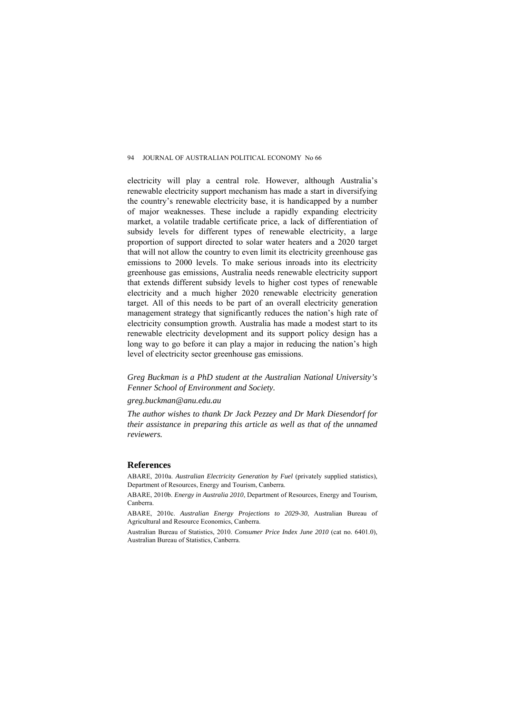electricity will play a central role. However, although Australia's renewable electricity support mechanism has made a start in diversifying the country's renewable electricity base, it is handicapped by a number of major weaknesses. These include a rapidly expanding electricity market, a volatile tradable certificate price, a lack of differentiation of subsidy levels for different types of renewable electricity, a large proportion of support directed to solar water heaters and a 2020 target that will not allow the country to even limit its electricity greenhouse gas emissions to 2000 levels. To make serious inroads into its electricity greenhouse gas emissions, Australia needs renewable electricity support that extends different subsidy levels to higher cost types of renewable electricity and a much higher 2020 renewable electricity generation target. All of this needs to be part of an overall electricity generation management strategy that significantly reduces the nation's high rate of electricity consumption growth. Australia has made a modest start to its renewable electricity development and its support policy design has a long way to go before it can play a major in reducing the nation's high level of electricity sector greenhouse gas emissions.

*Greg Buckman is a PhD student at the Australian National University's Fenner School of Environment and Society.* 

#### *[greg.buckman@anu.edu.au](mailto:Greg.buckman@anu.edu.au)*

*The author wishes to thank Dr Jack Pezzey and Dr Mark Diesendorf for their assistance in preparing this article as well as that of the unnamed reviewers.* 

### **References**

ABARE, 2010a. *Australian Electricity Generation by Fuel* (privately supplied statistics), Department of Resources, Energy and Tourism, Canberra.

ABARE, 2010b. *Energy in Australia 2010*, Department of Resources, Energy and Tourism, Canberra.

ABARE, 2010c. *Australian Energy Projections to 2029-30*, Australian Bureau of Agricultural and Resource Economics, Canberra.

Australian Bureau of Statistics, 2010. *Consumer Price Index June 2010* (cat no. 6401.0), Australian Bureau of Statistics, Canberra.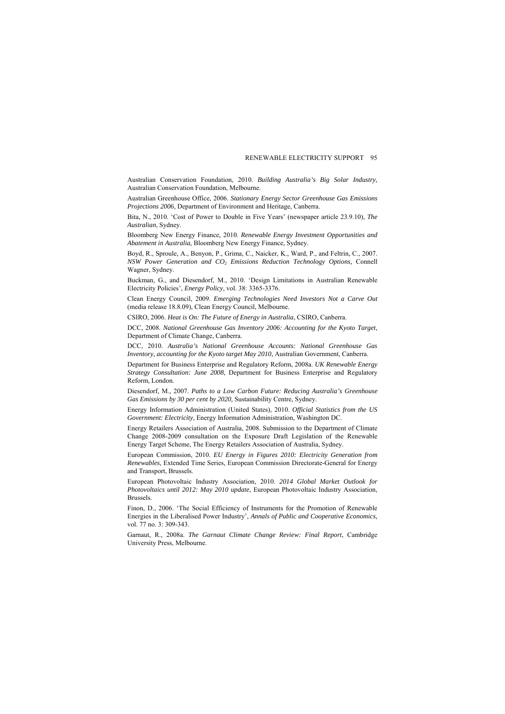Australian Conservation Foundation, 2010. *Building Australia's Big Solar Industry*, Australian Conservation Foundation, Melbourne.

Australian Greenhouse Office, 2006. *Stationary Energy Sector Greenhouse Gas Emissions Projections 2006*, Department of Environment and Heritage, Canberra.

Bita, N., 2010. 'Cost of Power to Double in Five Years' (newspaper article 23.9.10), *The Australian*, Sydney.

Bloomberg New Energy Finance, 2010. *Renewable Energy Investment Opportunities and Abatement in Australia,* Bloomberg New Energy Finance, Sydney.

Boyd, R., Sproule, A., Benyon, P., Grima, C., Naicker, K., Ward, P., and Feltrin, C., 2007. *NSW Power Generation and CO2 Emissions Reduction Technology Options,* Connell Wagner, Sydney.

Buckman, G., and Diesendorf, M., 2010. 'Design Limitations in Australian Renewable Electricity Policies', *Energy Policy*, vol. 38: 3365-3376.

Clean Energy Council, 2009. *Emerging Technologies Need Investors Not a Carve Out* (media release 18.8.09), Clean Energy Council, Melbourne.

CSIRO, 2006. *Heat is On: The Future of Energy in Australia*, CSIRO, Canberra.

DCC, 2008. *National Greenhouse Gas Inventory 2006: Accounting for the Kyoto Target*, Department of Climate Change, Canberra.

DCC, 2010. *Australia's National Greenhouse Accounts: National Greenhouse Gas Inventory, accounting for the Kyoto target May 2010*, Australian Government, Canberra.

Department for Business Enterprise and Regulatory Reform, 2008a. *UK Renewable Energy Strategy Consultation: June 2008*, Department for Business Enterprise and Regulatory Reform, London.

Diesendorf, M., 2007. *Paths to a Low Carbon Future: Reducing Australia's Greenhouse Gas Emissions by 30 per cent by 2020,* Sustainability Centre, Sydney.

Energy Information Administration (United States), 2010. *Official Statistics from the US Government: Electricity*, Energy Information Administration, Washington DC.

Energy Retailers Association of Australia, 2008. Submission to the Department of Climate Change 2008-2009 consultation on the Exposure Draft Legislation of the Renewable Energy Target Scheme, The Energy Retailers Association of Australia, Sydney.

European Commission, 2010. *EU Energy in Figures 2010: Electricity Generation from Renewables*, Extended Time Series, European Commission Directorate-General for Energy and Transport, Brussels.

European Photovoltaic Industry Association, 2010. *2014 Global Market Outlook for Photovoltaics until 2012: May 2010 update*, European Photovoltaic Industry Association, Brussels.

Finon, D., 2006. 'The Social Efficiency of Instruments for the Promotion of Renewable Energies in the Liberalised Power Industry', *Annals of Public and Cooperative Economics*, vol. 77 no. 3: 309-343.

Garnaut, R., 2008a. *The Garnaut Climate Change Review: Final Report*, Cambridge University Press, Melbourne.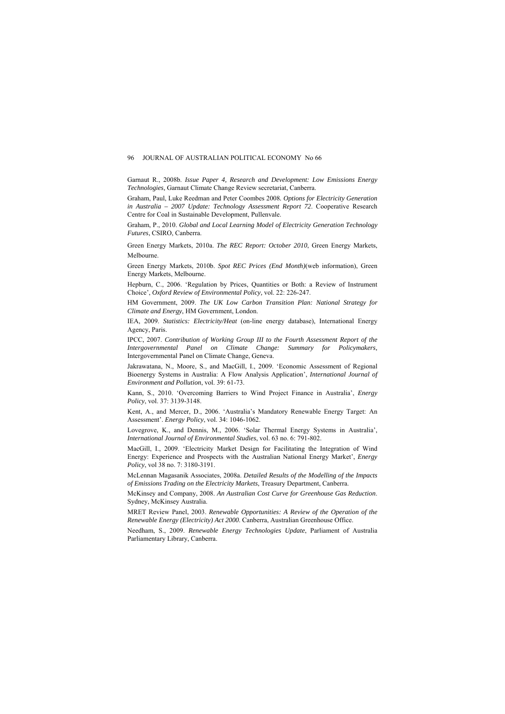Garnaut R., 2008b. *Issue Paper 4, Research and Development: Low Emissions Energy Technologies,* Garnaut Climate Change Review secretariat, Canberra.

Graham, Paul, Luke Reedman and Peter Coombes 2008*. Options for Electricity Generation in Australia – 2007 Update: Technology Assessment Report 72*. Cooperative Research Centre for Coal in Sustainable Development, Pullenvale.

Graham, P., 2010. *Global and Local Learning Model of Electricity Generation Technology Futures*, CSIRO, Canberra.

Green Energy Markets, 2010a. *The REC Report: October 2010*, Green Energy Markets, Melbourne.

Green Energy Markets, 2010b. *Spot REC Prices (End Month)*(web information), Green Energy Markets, Melbourne.

Hepburn, C., 2006. 'Regulation by Prices, Quantities or Both: a Review of Instrument Choice', *Oxford Review of Environmental Policy,* vol. 22: 226-247.

HM Government, 2009. *The UK Low Carbon Transition Plan: National Strategy for Climate and Energy*, HM Government, London.

IEA, 2009. *Statistics: Electricity/Heat* (on-line energy database), International Energy Agency, Paris.

IPCC, 2007. *Contribution of Working Group III to the Fourth Assessment Report of the Intergovernmental Panel on Climate Change: Summary for Policymakers,*  Intergovernmental Panel on Climate Change, Geneva.

Jakrawatana, N., Moore, S., and MacGill, I., 2009. 'Economic Assessment of Regional Bioenergy Systems in Australia: A Flow Analysis Application', *International Journal of Environment and Pollution*, vol. 39: 61-73.

Kann, S., 2010. 'Overcoming Barriers to Wind Project Finance in Australia', *Energy Policy*, vol. 37: 3139-3148.

Kent, A., and Mercer, D., 2006. 'Australia's Mandatory Renewable Energy Target: An Assessment'. *Energy Policy*, vol. 34: 1046-1062.

Lovegrove, K., and Dennis, M., 2006. 'Solar Thermal Energy Systems in Australia', *International Journal of Environmental Studies*, vol. 63 no. 6: 791-802.

MacGill, I., 2009. 'Electricity Market Design for Facilitating the Integration of Wind Energy: Experience and Prospects with the Australian National Energy Market', *Energy Policy*, vol 38 no. 7: 3180-3191.

McLennan Magasanik Associates, 2008a. *Detailed Results of the Modelling of the Impacts of Emissions Trading on the Electricity Markets*, Treasury Department, Canberra.

McKinsey and Company, 2008. *An Australian Cost Curve for Greenhouse Gas Reduction*. Sydney, McKinsey Australia.

MRET Review Panel, 2003. *Renewable Opportunities: A Review of the Operation of the Renewable Energy (Electricity) Act 2000*. Canberra, Australian Greenhouse Office.

Needham, S., 2009. *Renewable Energy Technologies Update*, Parliament of Australia Parliamentary Library, Canberra.